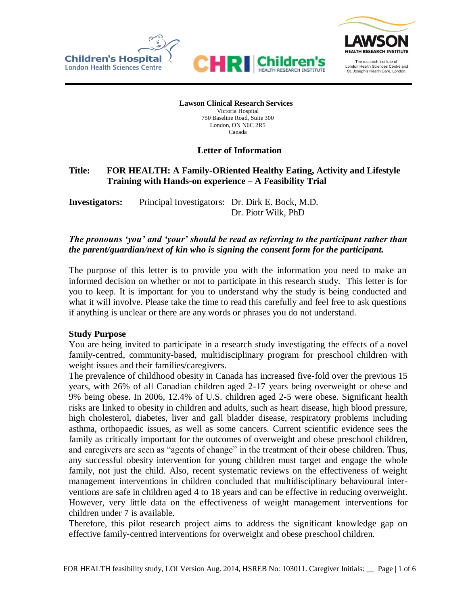



The research institute of London Health Sciences Centre and<br>St. Joseph's Health Care, London.

**Lawson Clinical Research Services** Victoria Hospital 750 Baseline Road, Suite 300 London, ON N6C 2R5 Canada

#### **Letter of Information**

### **Title: FOR HEALTH: A Family-ORiented Healthy Eating, Activity and Lifestyle Training with Hands-on experience – A Feasibility Trial**

**Investigators:** Principal Investigators: Dr. Dirk E. Bock, M.D. Dr. Piotr Wilk, PhD

#### *The pronouns 'you' and 'your' should be read as referring to the participant rather than the parent/guardian/next of kin who is signing the consent form for the participant.*

The purpose of this letter is to provide you with the information you need to make an informed decision on whether or not to participate in this research study. This letter is for you to keep. It is important for you to understand why the study is being conducted and what it will involve. Please take the time to read this carefully and feel free to ask questions if anything is unclear or there are any words or phrases you do not understand.

#### **Study Purpose**

You are being invited to participate in a research study investigating the effects of a novel family-centred, community-based, multidisciplinary program for preschool children with weight issues and their families/caregivers.

The prevalence of childhood obesity in Canada has increased five-fold over the previous 15 years, with 26% of all Canadian children aged 2-17 years being overweight or obese and 9% being obese. In 2006, 12.4% of U.S. children aged 2-5 were obese. Significant health risks are linked to obesity in children and adults, such as heart disease, high blood pressure, high cholesterol, diabetes, liver and gall bladder disease, respiratory problems including asthma, orthopaedic issues, as well as some cancers. Current scientific evidence sees the family as critically important for the outcomes of overweight and obese preschool children, and caregivers are seen as "agents of change" in the treatment of their obese children. Thus, any successful obesity intervention for young children must target and engage the whole family, not just the child. Also, recent systematic reviews on the effectiveness of weight management interventions in children concluded that multidisciplinary behavioural interventions are safe in children aged 4 to 18 years and can be effective in reducing overweight. However, very little data on the effectiveness of weight management interventions for children under 7 is available.

Therefore, this pilot research project aims to address the significant knowledge gap on effective family-centred interventions for overweight and obese preschool children.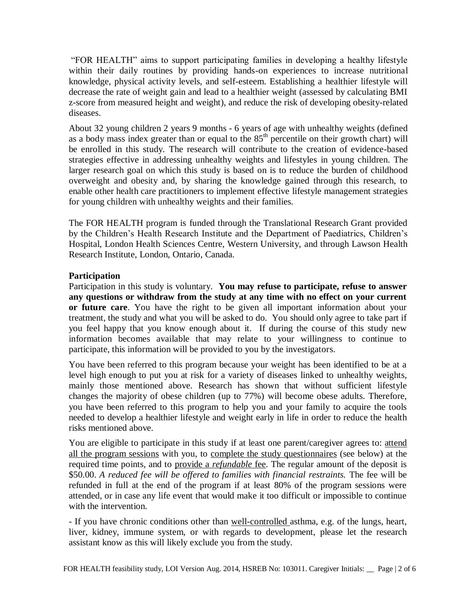"FOR HEALTH" aims to support participating families in developing a healthy lifestyle within their daily routines by providing hands-on experiences to increase nutritional knowledge, physical activity levels, and self-esteem. Establishing a healthier lifestyle will decrease the rate of weight gain and lead to a healthier weight (assessed by calculating BMI z-score from measured height and weight), and reduce the risk of developing obesity-related diseases.

About 32 young children 2 years 9 months - 6 years of age with unhealthy weights (defined as a body mass index greater than or equal to the  $85<sup>th</sup>$  percentile on their growth chart) will be enrolled in this study. The research will contribute to the creation of evidence-based strategies effective in addressing unhealthy weights and lifestyles in young children. The larger research goal on which this study is based on is to reduce the burden of childhood overweight and obesity and, by sharing the knowledge gained through this research, to enable other health care practitioners to implement effective lifestyle management strategies for young children with unhealthy weights and their families.

The FOR HEALTH program is funded through the Translational Research Grant provided by the Children's Health Research Institute and the Department of Paediatrics, Children's Hospital, London Health Sciences Centre, Western University, and through Lawson Health Research Institute, London, Ontario, Canada.

#### **Participation**

Participation in this study is voluntary. **You may refuse to participate, refuse to answer any questions or withdraw from the study at any time with no effect on your current or future care**. You have the right to be given all important information about your treatment, the study and what you will be asked to do. You should only agree to take part if you feel happy that you know enough about it. If during the course of this study new information becomes available that may relate to your willingness to continue to participate, this information will be provided to you by the investigators.

You have been referred to this program because your weight has been identified to be at a level high enough to put you at risk for a variety of diseases linked to unhealthy weights, mainly those mentioned above. Research has shown that without sufficient lifestyle changes the majority of obese children (up to 77%) will become obese adults. Therefore, you have been referred to this program to help you and your family to acquire the tools needed to develop a healthier lifestyle and weight early in life in order to reduce the health risks mentioned above.

You are eligible to participate in this study if at least one parent/caregiver agrees to: attend all the program sessions with you, to complete the study questionnaires (see below) at the required time points, and to provide a *refundable* fee. The regular amount of the deposit is \$50.00. *A reduced fee will be offered to families with financial restraints.* The fee will be refunded in full at the end of the program if at least 80% of the program sessions were attended, or in case any life event that would make it too difficult or impossible to continue with the intervention.

- If you have chronic conditions other than well-controlled asthma, e.g. of the lungs, heart, liver, kidney, immune system, or with regards to development, please let the research assistant know as this will likely exclude you from the study.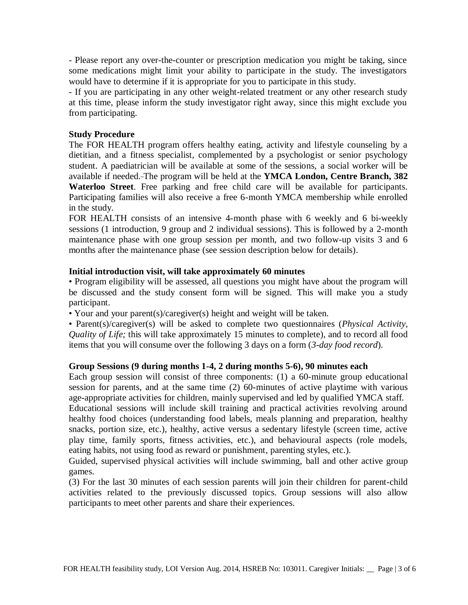- Please report any over-the-counter or prescription medication you might be taking, since some medications might limit your ability to participate in the study. The investigators would have to determine if it is appropriate for you to participate in this study.

- If you are participating in any other weight-related treatment or any other research study at this time, please inform the study investigator right away, since this might exclude you from participating.

#### **Study Procedure**

The FOR HEALTH program offers healthy eating, activity and lifestyle counseling by a dietitian, and a fitness specialist, complemented by a psychologist or senior psychology student. A paediatrician will be available at some of the sessions, a social worker will be available if needed. The program will be held at the **YMCA London, Centre Branch, 382 Waterloo Street**. Free parking and free child care will be available for participants. Participating families will also receive a free 6-month YMCA membership while enrolled in the study.

FOR HEALTH consists of an intensive 4-month phase with 6 weekly and 6 bi-weekly sessions (1 introduction, 9 group and 2 individual sessions). This is followed by a 2-month maintenance phase with one group session per month, and two follow-up visits 3 and 6 months after the maintenance phase (see session description below for details).

#### **Initial introduction visit, will take approximately 60 minutes**

• Program eligibility will be assessed, all questions you might have about the program will be discussed and the study consent form will be signed. This will make you a study participant.

• Your and your parent(s)/caregiver(s) height and weight will be taken.

• Parent(s)/caregiver(s) will be asked to complete two questionnaires (*Physical Activity, Quality of Life;* this will take approximately 15 minutes to complete), and to record all food items that you will consume over the following 3 days on a form (*3-day food record*).

#### **Group Sessions (9 during months 1-4, 2 during months 5-6), 90 minutes each**

Each group session will consist of three components: (1) a 60-minute group educational session for parents, and at the same time (2) 60-minutes of active playtime with various age-appropriate activities for children, mainly supervised and led by qualified YMCA staff.

Educational sessions will include skill training and practical activities revolving around healthy food choices (understanding food labels, meals planning and preparation, healthy snacks, portion size, etc.), healthy, active versus a sedentary lifestyle (screen time, active play time, family sports, fitness activities, etc.), and behavioural aspects (role models, eating habits, not using food as reward or punishment, parenting styles, etc.).

Guided, supervised physical activities will include swimming, ball and other active group games.

(3) For the last 30 minutes of each session parents will join their children for parent-child activities related to the previously discussed topics. Group sessions will also allow participants to meet other parents and share their experiences.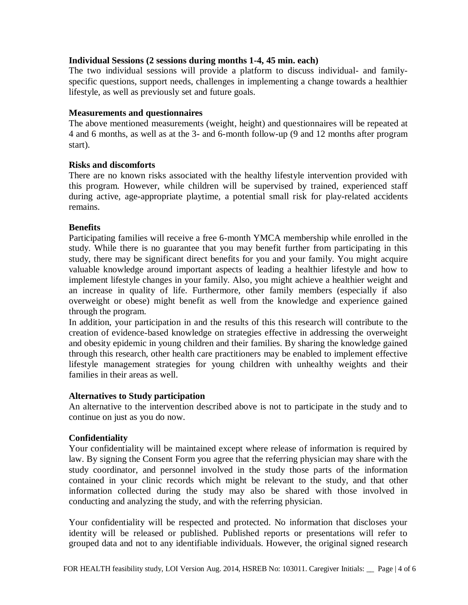#### **Individual Sessions (2 sessions during months 1-4, 45 min. each)**

The two individual sessions will provide a platform to discuss individual- and familyspecific questions, support needs, challenges in implementing a change towards a healthier lifestyle, as well as previously set and future goals.

#### **Measurements and questionnaires**

The above mentioned measurements (weight, height) and questionnaires will be repeated at 4 and 6 months, as well as at the 3- and 6-month follow-up (9 and 12 months after program start).

#### **Risks and discomforts**

There are no known risks associated with the healthy lifestyle intervention provided with this program. However, while children will be supervised by trained, experienced staff during active, age-appropriate playtime, a potential small risk for play-related accidents remains.

#### **Benefits**

Participating families will receive a free 6-month YMCA membership while enrolled in the study. While there is no guarantee that you may benefit further from participating in this study, there may be significant direct benefits for you and your family. You might acquire valuable knowledge around important aspects of leading a healthier lifestyle and how to implement lifestyle changes in your family. Also, you might achieve a healthier weight and an increase in quality of life. Furthermore, other family members (especially if also overweight or obese) might benefit as well from the knowledge and experience gained through the program.

In addition, your participation in and the results of this this research will contribute to the creation of evidence-based knowledge on strategies effective in addressing the overweight and obesity epidemic in young children and their families. By sharing the knowledge gained through this research, other health care practitioners may be enabled to implement effective lifestyle management strategies for young children with unhealthy weights and their families in their areas as well.

#### **Alternatives to Study participation**

An alternative to the intervention described above is not to participate in the study and to continue on just as you do now.

#### **Confidentiality**

Your confidentiality will be maintained except where release of information is required by law. By signing the Consent Form you agree that the referring physician may share with the study coordinator, and personnel involved in the study those parts of the information contained in your clinic records which might be relevant to the study, and that other information collected during the study may also be shared with those involved in conducting and analyzing the study, and with the referring physician.

Your confidentiality will be respected and protected. No information that discloses your identity will be released or published. Published reports or presentations will refer to grouped data and not to any identifiable individuals. However, the original signed research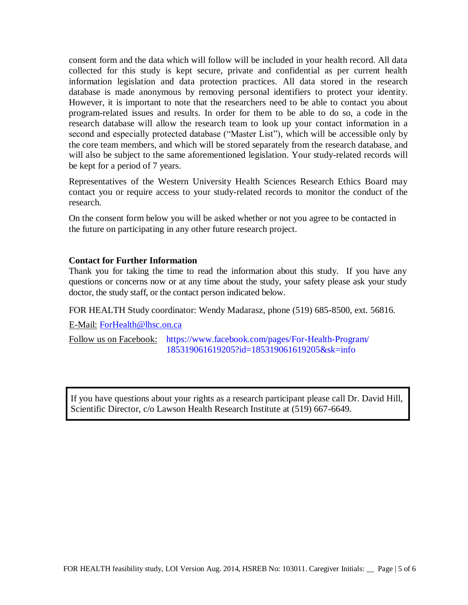consent form and the data which will follow will be included in your health record. All data collected for this study is kept secure, private and confidential as per current health information legislation and data protection practices. All data stored in the research database is made anonymous by removing personal identifiers to protect your identity. However, it is important to note that the researchers need to be able to contact you about program-related issues and results. In order for them to be able to do so, a code in the research database will allow the research team to look up your contact information in a second and especially protected database ("Master List"), which will be accessible only by the core team members, and which will be stored separately from the research database, and will also be subject to the same aforementioned legislation. Your study-related records will be kept for a period of 7 years.

Representatives of the Western University Health Sciences Research Ethics Board may contact you or require access to your study-related records to monitor the conduct of the research.

On the consent form below you will be asked whether or not you agree to be contacted in the future on participating in any other future research project.

#### **Contact for Further Information**

Thank you for taking the time to read the information about this study. If you have any questions or concerns now or at any time about the study, your safety please ask your study doctor, the study staff, or the contact person indicated below.

FOR HEALTH Study coordinator: Wendy Madarasz, phone (519) 685-8500, ext. 56816.

E-Mail: [ForHealth@lhsc.on.ca](mailto:ForHealth@lhsc.on.ca)

Follow us on Facebook: <https://www.facebook.com/pages/For-Health-Program/> 185319061619205?id=185319061619205&sk=info

If you have questions about your rights as a research participant please call Dr. David Hill, Scientific Director, c/o Lawson Health Research Institute at (519) 667-6649.